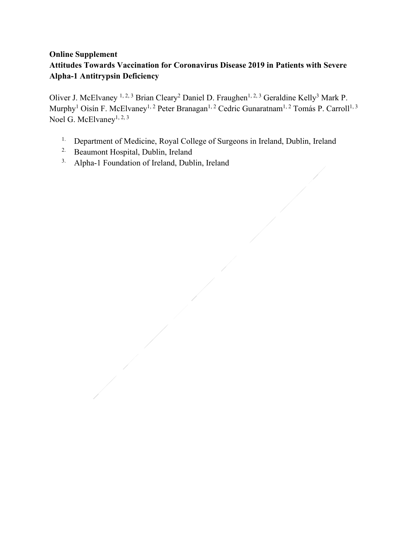# **Online Supplement Attitudes Towards Vaccination for Coronavirus Disease 2019 in Patients with Severe Alpha-1 Antitrypsin Deficiency**

Oliver J. McElvaney<sup>1, 2, 3</sup> Brian Cleary<sup>2</sup> Daniel D. Fraughen<sup>1, 2, 3</sup> Geraldine Kelly<sup>3</sup> Mark P. Murphy<sup>1</sup> Oisín F. McElvaney<sup>1, 2</sup> Peter Branagan<sup>1, 2</sup> Cedric Gunaratnam<sup>1, 2</sup> Tomás P. Carroll<sup>1, 3</sup> Noel G. McElvaney<sup>1, 2, 3</sup>

- <sup>1.</sup> Department of Medicine, Royal College of Surgeons in Ireland, Dublin, Ireland
- 2. Beaumont Hospital, Dublin, Ireland
- 3. Alpha-1 Foundation of Ireland, Dublin, Ireland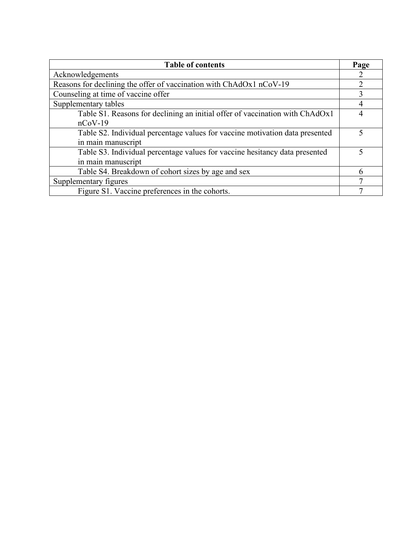| <b>Table of contents</b>                                                     | Page |
|------------------------------------------------------------------------------|------|
| Acknowledgements                                                             | 2    |
| Reasons for declining the offer of vaccination with ChAdOx1 nCoV-19          |      |
| Counseling at time of vaccine offer                                          |      |
| Supplementary tables                                                         |      |
| Table S1. Reasons for declining an initial offer of vaccination with ChAdOx1 |      |
| $nCoV-19$                                                                    |      |
| Table S2. Individual percentage values for vaccine motivation data presented |      |
| in main manuscript                                                           |      |
| Table S3. Individual percentage values for vaccine hesitancy data presented  | 5    |
| in main manuscript                                                           |      |
| Table S4. Breakdown of cohort sizes by age and sex                           | 6    |
| Supplementary figures                                                        |      |
| Figure S1. Vaccine preferences in the cohorts.                               |      |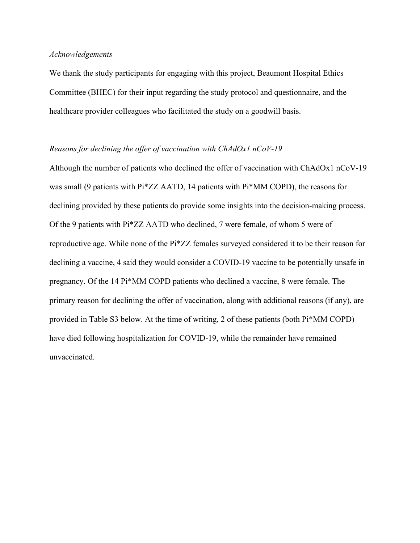#### *Acknowledgements*

We thank the study participants for engaging with this project, Beaumont Hospital Ethics Committee (BHEC) for their input regarding the study protocol and questionnaire, and the healthcare provider colleagues who facilitated the study on a goodwill basis.

#### *Reasons for declining the offer of vaccination with ChAdOx1 nCoV-19*

Although the number of patients who declined the offer of vaccination with ChAdOx1 nCoV-19 was small (9 patients with Pi\*ZZ AATD, 14 patients with Pi\*MM COPD), the reasons for declining provided by these patients do provide some insights into the decision-making process. Of the 9 patients with Pi\*ZZ AATD who declined, 7 were female, of whom 5 were of reproductive age. While none of the Pi\*ZZ females surveyed considered it to be their reason for declining a vaccine, 4 said they would consider a COVID-19 vaccine to be potentially unsafe in pregnancy. Of the 14 Pi\*MM COPD patients who declined a vaccine, 8 were female. The primary reason for declining the offer of vaccination, along with additional reasons (if any), are provided in Table S3 below. At the time of writing, 2 of these patients (both Pi\*MM COPD) have died following hospitalization for COVID-19, while the remainder have remained unvaccinated.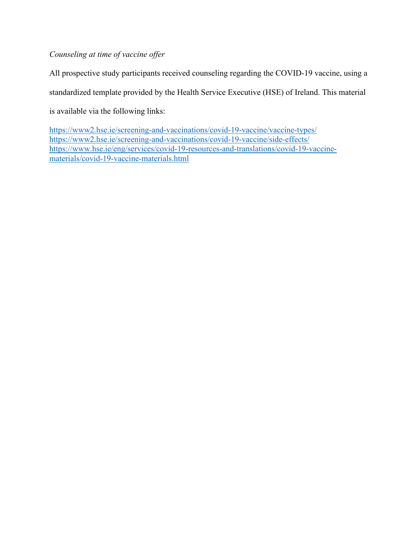*Counseling at time of vaccine offer*

All prospective study participants received counseling regarding the COVID-19 vaccine, using a standardized template provided by the Health Service Executive (HSE) of Ireland. This material is available via the following links:

<https://www2.hse.ie/screening-and-vaccinations/covid-19-vaccine/vaccine-types/> <https://www2.hse.ie/screening-and-vaccinations/covid-19-vaccine/side-effects/> [https://www.hse.ie/eng/services/covid-19-resources-and-translations/covid-19-vaccine](https://www.hse.ie/eng/services/covid-19-resources-and-translations/covid-19-vaccine-materials/covid-19-vaccine-materials.html)[materials/covid-19-vaccine-materials.html](https://www.hse.ie/eng/services/covid-19-resources-and-translations/covid-19-vaccine-materials/covid-19-vaccine-materials.html)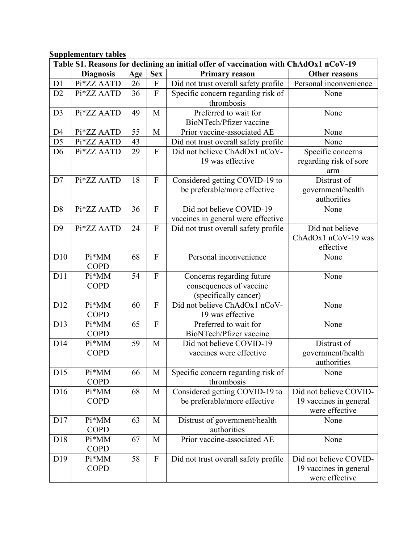**Supplementary tables**

| Table S1. Reasons for declining an initial offer of vaccination with ChAdOx1 nCoV-19 |                      |     |                           |                                           |                        |
|--------------------------------------------------------------------------------------|----------------------|-----|---------------------------|-------------------------------------------|------------------------|
|                                                                                      | <b>Diagnosis</b>     | Age | <b>Sex</b>                | Primary reason                            | Other reasons          |
| D1                                                                                   | Pi*ZZ AATD           | 26  | $\boldsymbol{\mathrm{F}}$ | Did not trust overall safety profile      | Personal inconvenience |
| D2                                                                                   | Pi*ZZ AATD           | 36  | $\overline{F}$            | Specific concern regarding risk of        | None                   |
|                                                                                      |                      |     |                           | thrombosis                                |                        |
| D <sub>3</sub>                                                                       | Pi*ZZ AATD           | 49  | M                         | Preferred to wait for                     | None                   |
|                                                                                      |                      |     |                           | BioNTech/Pfizer vaccine                   |                        |
| D <sub>4</sub>                                                                       | Pi*ZZ AATD           | 55  | M                         | Prior vaccine-associated AE               | None                   |
| D <sub>5</sub>                                                                       | Pi*ZZ AATD           | 43  |                           | Did not trust overall safety profile      | None                   |
| D <sub>6</sub>                                                                       | Pi*ZZ AATD           | 29  | ${\bf F}$                 | Did not believe ChAdOx1 nCoV-             | Specific concerns      |
|                                                                                      |                      |     |                           | 19 was effective                          | regarding risk of sore |
|                                                                                      |                      |     |                           |                                           | arm                    |
| D7                                                                                   | Pi*ZZ AATD           | 18  | ${\bf F}$                 | Considered getting COVID-19 to            | Distrust of            |
|                                                                                      |                      |     |                           | be preferable/more effective              | government/health      |
|                                                                                      |                      |     |                           |                                           | authorities            |
| D <sub>8</sub>                                                                       | Pi*ZZ AATD           | 36  | $\mathbf{F}$              | Did not believe COVID-19                  | None                   |
|                                                                                      |                      |     |                           | vaccines in general were effective        |                        |
| D <sub>9</sub>                                                                       | Pi*ZZ AATD           | 24  | ${\bf F}$                 | Did not trust overall safety profile      | Did not believe        |
|                                                                                      |                      |     |                           |                                           | ChAdOx1 nCoV-19 was    |
|                                                                                      |                      |     |                           |                                           | effective              |
| D10                                                                                  | $Pi*MM$              | 68  | ${\bf F}$                 | Personal inconvenience                    | None                   |
|                                                                                      | <b>COPD</b>          |     |                           |                                           |                        |
| D11                                                                                  | Pi*MM                | 54  | $\mathbf{F}$              | Concerns regarding future                 | None                   |
|                                                                                      | <b>COPD</b>          |     |                           | consequences of vaccine                   |                        |
|                                                                                      |                      |     | $\mathbf{F}$              | (specifically cancer)                     |                        |
| D12                                                                                  | Pi*MM                | 60  |                           | Did not believe ChAdOx1 nCoV-             | None                   |
| D13                                                                                  | <b>COPD</b><br>Pi*MM | 65  | $\mathbf{F}$              | 19 was effective<br>Preferred to wait for | None                   |
|                                                                                      | <b>COPD</b>          |     |                           | BioNTech/Pfizer vaccine                   |                        |
| D14                                                                                  | Pi*MM                | 59  | M                         | Did not believe COVID-19                  | Distrust of            |
|                                                                                      | <b>COPD</b>          |     |                           | vaccines were effective                   | government/health      |
|                                                                                      |                      |     |                           |                                           | authorities            |
| D15                                                                                  | Pi*MM                | 66  | M                         | Specific concern regarding risk of        | None                   |
|                                                                                      | <b>COPD</b>          |     |                           | thrombosis                                |                        |
| D <sub>16</sub>                                                                      | Pi*MM                | 68  | M                         | Considered getting COVID-19 to            | Did not believe COVID- |
|                                                                                      | <b>COPD</b>          |     |                           | be preferable/more effective              | 19 vaccines in general |
|                                                                                      |                      |     |                           |                                           | were effective         |
| D17                                                                                  | Pi*MM                | 63  | M                         | Distrust of government/health             | None                   |
|                                                                                      | <b>COPD</b>          |     |                           | authorities                               |                        |
| D18                                                                                  | Pi*MM                | 67  | M                         | Prior vaccine-associated AE               | None                   |
|                                                                                      | <b>COPD</b>          |     |                           |                                           |                        |
| D <sub>19</sub>                                                                      | Pi*MM                | 58  | $\boldsymbol{\mathrm{F}}$ | Did not trust overall safety profile      | Did not believe COVID- |
|                                                                                      | <b>COPD</b>          |     |                           |                                           | 19 vaccines in general |
|                                                                                      |                      |     |                           |                                           | were effective         |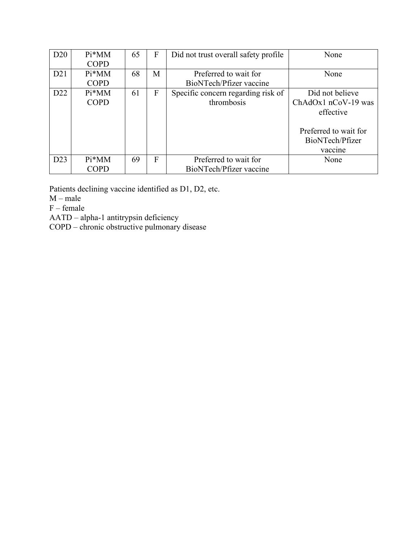| D <sub>20</sub> | $Pi*MM$     | 65 | F | Did not trust overall safety profile | None                  |
|-----------------|-------------|----|---|--------------------------------------|-----------------------|
|                 | <b>COPD</b> |    |   |                                      |                       |
| D21             | $Pi^*MM$    | 68 | М | Preferred to wait for                | None                  |
|                 | <b>COPD</b> |    |   | BioNTech/Pfizer vaccine              |                       |
| D <sub>22</sub> | $Pi^*MM$    | 61 | F | Specific concern regarding risk of   | Did not believe       |
|                 | <b>COPD</b> |    |   | thrombosis                           | ChAdOx1 nCoV-19 was   |
|                 |             |    |   |                                      | effective             |
|                 |             |    |   |                                      |                       |
|                 |             |    |   |                                      | Preferred to wait for |
|                 |             |    |   |                                      | BioNTech/Pfizer       |
|                 |             |    |   |                                      | vaccine               |
| D23             | $Pi*MM$     | 69 | F | Preferred to wait for                | None                  |
|                 | <b>COPD</b> |    |   | BioNTech/Pfizer vaccine              |                       |

Patients declining vaccine identified as D1, D2, etc.

M – male

F – female

AATD – alpha-1 antitrypsin deficiency

COPD – chronic obstructive pulmonary disease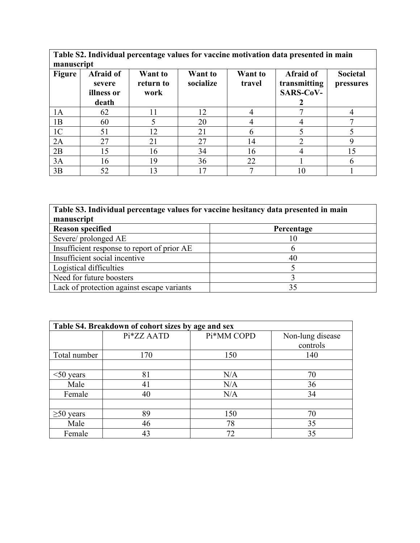**Table S2. Individual percentage values for vaccine motivation data presented in main manuscript**

| <b>Figure</b>  | Afraid of<br>severe<br>illness or<br>death | Want to<br>return to<br>work | Want to<br>socialize | Want to<br>travel | Afraid of<br>transmitting<br><b>SARS-CoV-</b> | Societal<br>pressures |
|----------------|--------------------------------------------|------------------------------|----------------------|-------------------|-----------------------------------------------|-----------------------|
| 1A             | 62                                         | 11                           | 12                   |                   |                                               |                       |
| 1B             | 60                                         |                              | 20                   |                   |                                               |                       |
| 1 <sup>C</sup> | 51                                         | 12                           | 21                   | n                 |                                               |                       |
| 2A             | 27                                         | 21                           | 27                   | 14                |                                               |                       |
| 2B             | 15                                         | 16                           | 34                   | 16                |                                               |                       |
| 3A             | 16                                         | 19                           | 36                   | 22                |                                               |                       |
| 3B             | 52                                         | 13                           |                      |                   | 10                                            |                       |

| Table S3. Individual percentage values for vaccine hesitancy data presented in main |            |  |  |
|-------------------------------------------------------------------------------------|------------|--|--|
| manuscript                                                                          |            |  |  |
| <b>Reason specified</b>                                                             | Percentage |  |  |
| Severe/prolonged AE                                                                 | 10         |  |  |
| Insufficient response to report of prior AE                                         | n          |  |  |
| Insufficient social incentive                                                       | 40         |  |  |
| Logistical difficulties                                                             |            |  |  |
| Need for future boosters                                                            |            |  |  |
| Lack of protection against escape variants                                          | 35         |  |  |

| Table S4. Breakdown of cohort sizes by age and sex |            |            |                  |  |  |
|----------------------------------------------------|------------|------------|------------------|--|--|
|                                                    | Pi*ZZ AATD | Pi*MM COPD | Non-lung disease |  |  |
|                                                    |            |            | controls         |  |  |
| Total number                                       | 170        | 150        | 140              |  |  |
|                                                    |            |            |                  |  |  |
| $<$ 50 years                                       | 81         | N/A        | 70               |  |  |
| Male                                               | 41         | N/A        | 36               |  |  |
| Female                                             | 40         | N/A        | 34               |  |  |
|                                                    |            |            |                  |  |  |
| $\geq 50$ years                                    | 89         | 150        | 70               |  |  |
| Male                                               | 46         | 78         | 35               |  |  |
| Female                                             | 43         | 72         | 35               |  |  |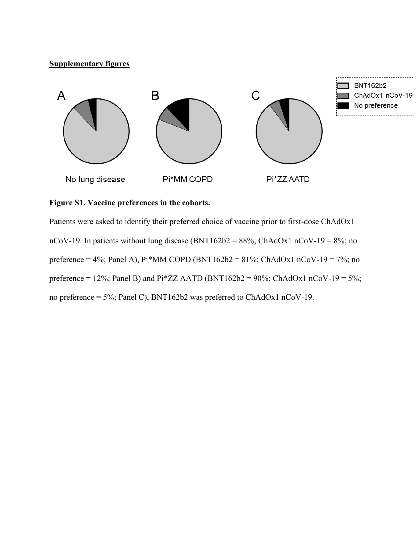### **Supplementary figures**



# **Figure S1. Vaccine preferences in the cohorts.**

Patients were asked to identify their preferred choice of vaccine prior to first-dose ChAdOx1 nCoV-19. In patients without lung disease (BNT162b2 =  $88\%$ ; ChAdOx1 nCoV-19 =  $8\%$ ; no preference = 4%; Panel A), Pi\*MM COPD (BNT162b2 = 81%; ChAdOx1 nCoV-19 = 7%; no preference = 12%; Panel B) and Pi\*ZZ AATD (BNT162b2 = 90%; ChAdOx1 nCoV-19 = 5%; no preference = 5%; Panel C), BNT162b2 was preferred to ChAdOx1 nCoV-19.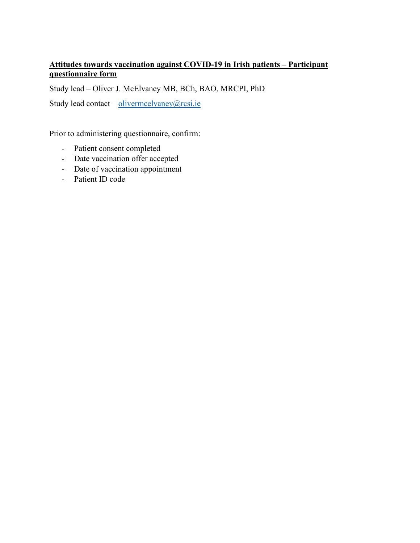### **Attitudes towards vaccination against COVID-19 in Irish patients – Participant questionnaire form**

Study lead – Oliver J. McElvaney MB, BCh, BAO, MRCPI, PhD

Study lead contact – [olivermcelvaney@rcsi.ie](mailto:olivermcelvaney@rcsi.ie)

Prior to administering questionnaire, confirm:

- Patient consent completed
- Date vaccination offer accepted
- Date of vaccination appointment
- Patient ID code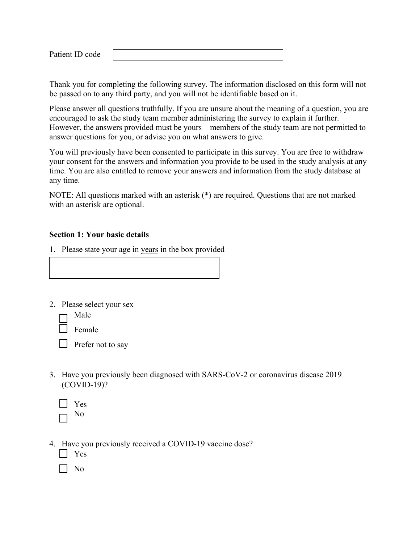Patient ID code

Thank you for completing the following survey. The information disclosed on this form will not be passed on to any third party, and you will not be identifiable based on it.

Please answer all questions truthfully. If you are unsure about the meaning of a question, you are encouraged to ask the study team member administering the survey to explain it further. However, the answers provided must be yours – members of the study team are not permitted to answer questions for you, or advise you on what answers to give.

You will previously have been consented to participate in this survey. You are free to withdraw your consent for the answers and information you provide to be used in the study analysis at any time. You are also entitled to remove your answers and information from the study database at any time.

NOTE: All questions marked with an asterisk (\*) are required. Questions that are not marked with an asterisk are optional.

#### **Section 1: Your basic details**

- 1. Please state your age in years in the box provided
- 2. Please select your sex
	- Male

Female

Prefer not to say

- 3. Have you previously been diagnosed with SARS-CoV-2 or coronavirus disease 2019 (COVID-19)?
	- Yes No
- 4. Have you previously received a COVID-19 vaccine dose?
	- Yes
	- | No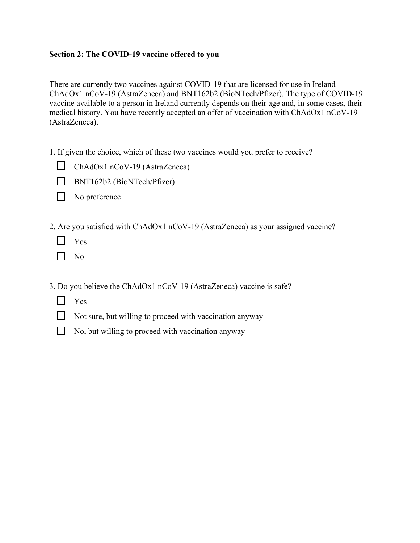### **Section 2: The COVID-19 vaccine offered to you**

There are currently two vaccines against COVID-19 that are licensed for use in Ireland – ChAdOx1 nCoV-19 (AstraZeneca) and BNT162b2 (BioNTech/Pfizer). The type of COVID-19 vaccine available to a person in Ireland currently depends on their age and, in some cases, their medical history. You have recently accepted an offer of vaccination with ChAdOx1 nCoV-19 (AstraZeneca).

- 1. If given the choice, which of these two vaccines would you prefer to receive?
	- $\Box$  ChAdOx1 nCoV-19 (AstraZeneca)
	- BNT162b2 (BioNTech/Pfizer)
	- No preference
- 2. Are you satisfied with ChAdOx1 nCoV-19 (AstraZeneca) as your assigned vaccine?
	- $\mathbf{L}$ Yes
	- П. No
- 3. Do you believe the ChAdOx1 nCoV-19 (AstraZeneca) vaccine is safe?
	- **N** Yes
	- $\Box$  Not sure, but willing to proceed with vaccination anyway
	- $\Box$  No, but willing to proceed with vaccination anyway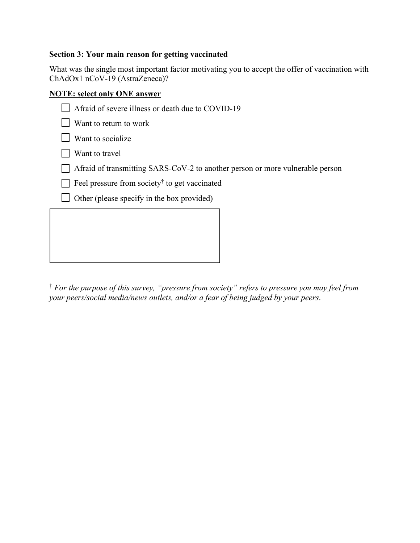# **Section 3: Your main reason for getting vaccinated**

What was the single most important factor motivating you to accept the offer of vaccination with ChAdOx1 nCoV-19 (AstraZeneca)?

### **NOTE: select only ONE answer**

| Afraid of severe illness or death due to COVID-19                             |
|-------------------------------------------------------------------------------|
| Want to return to work                                                        |
| Want to socialize                                                             |
| Want to travel                                                                |
| Afraid of transmitting SARS-CoV-2 to another person or more vulnerable person |
| Feel pressure from society to get vaccinated                                  |
| Other (please specify in the box provided)                                    |
|                                                                               |
|                                                                               |
|                                                                               |

† *For the purpose of this survey, "pressure from society" refers to pressure you may feel from your peers/social media/news outlets, and/or a fear of being judged by your peers*.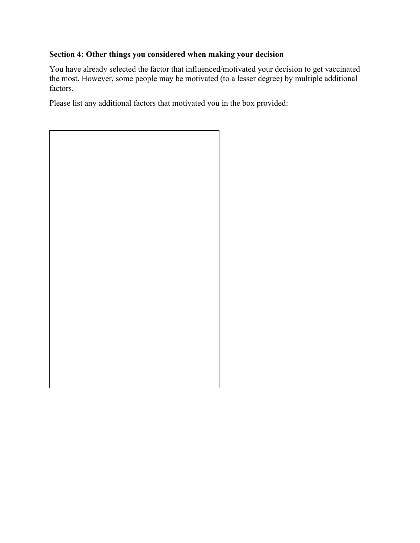# **Section 4: Other things you considered when making your decision**

You have already selected the factor that influenced/motivated your decision to get vaccinated the most. However, some people may be motivated (to a lesser degree) by multiple additional factors.

Please list any additional factors that motivated you in the box provided:

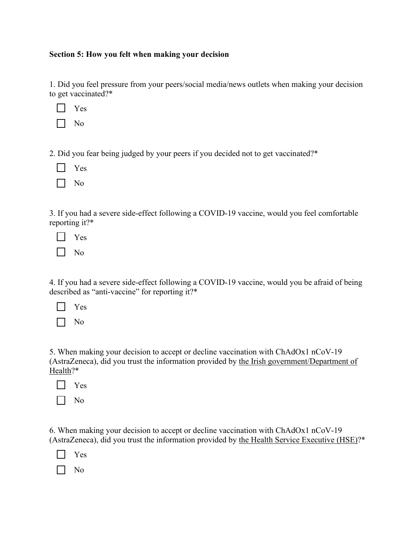#### **Section 5: How you felt when making your decision**

1. Did you feel pressure from your peers/social media/news outlets when making your decision to get vaccinated?\*

|--|--|

2. Did you fear being judged by your peers if you decided not to get vaccinated?\*

|--|--|

3. If you had a severe side-effect following a COVID-19 vaccine, would you feel comfortable reporting it?\*

|--|--|

4. If you had a severe side-effect following a COVID-19 vaccine, would you be afraid of being described as "anti-vaccine" for reporting it?\*

|--|--|

No

5. When making your decision to accept or decline vaccination with ChAdOx1 nCoV-19 (AstraZeneca), did you trust the information provided by the Irish government/Department of Health?\*

|--|--|

|--|--|

6. When making your decision to accept or decline vaccination with ChAdOx1 nCoV-19 (AstraZeneca), did you trust the information provided by the Health Service Executive (HSE)?\*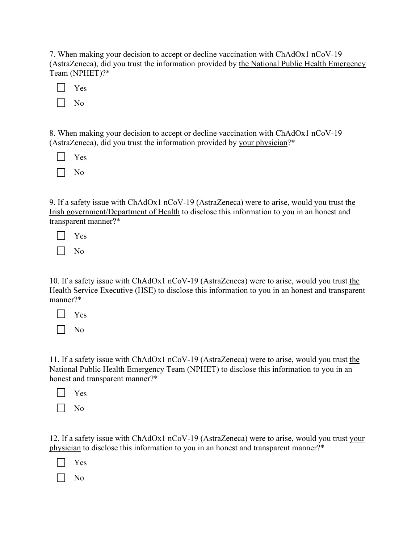7. When making your decision to accept or decline vaccination with ChAdOx1 nCoV-19 (AstraZeneca), did you trust the information provided by the National Public Health Emergency Team (NPHET)?\*

No

8. When making your decision to accept or decline vaccination with ChAdOx1 nCoV-19 (AstraZeneca), did you trust the information provided by your physician?\*

| Yes |
|-----|
| Nο  |

9. If a safety issue with ChAdOx1 nCoV-19 (AstraZeneca) were to arise, would you trust the Irish government/Department of Health to disclose this information to you in an honest and transparent manner?\*

Yes

No

10. If a safety issue with ChAdOx1 nCoV-19 (AstraZeneca) were to arise, would you trust the Health Service Executive (HSE) to disclose this information to you in an honest and transparent manner?\*

Yes

No

11. If a safety issue with ChAdOx1 nCoV-19 (AstraZeneca) were to arise, would you trust the National Public Health Emergency Team (NPHET) to disclose this information to you in an honest and transparent manner?\*

No

12. If a safety issue with ChAdOx1 nCoV-19 (AstraZeneca) were to arise, would you trust your physician to disclose this information to you in an honest and transparent manner?\*

Yes

No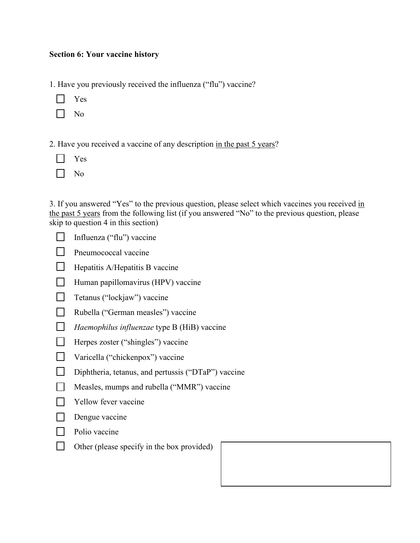### **Section 6: Your vaccine history**

- 1. Have you previously received the influenza ("flu") vaccine?
	- Yes
	- No
- 2. Have you received a vaccine of any description in the past 5 years?
	- Yes
	- No  $\perp$

3. If you answered "Yes" to the previous question, please select which vaccines you received in the past 5 years from the following list (if you answered "No" to the previous question, please skip to question 4 in this section)

- $\mathbf{L}$ Influenza ("flu") vaccine
- Pneumococcal vaccine  $\mathbf{L}$
- $\Box$  Hepatitis A/Hepatitis B vaccine
- Human papillomavirus (HPV) vaccine
- Tetanus ("lockjaw") vaccine
- Rubella ("German measles") vaccine
- *Haemophilus influenzae* type B (HiB) vaccine
- Herpes zoster ("shingles") vaccine
- Varicella ("chickenpox") vaccine
- $\Box$ Diphtheria, tetanus, and pertussis ("DTaP") vaccine
- $\Box$ Measles, mumps and rubella ("MMR") vaccine
- $\Box$ Yellow fever vaccine
- $\Box$ Dengue vaccine
- $\Box$ Polio vaccine
- $\mathbf{L}$ Other (please specify in the box provided)